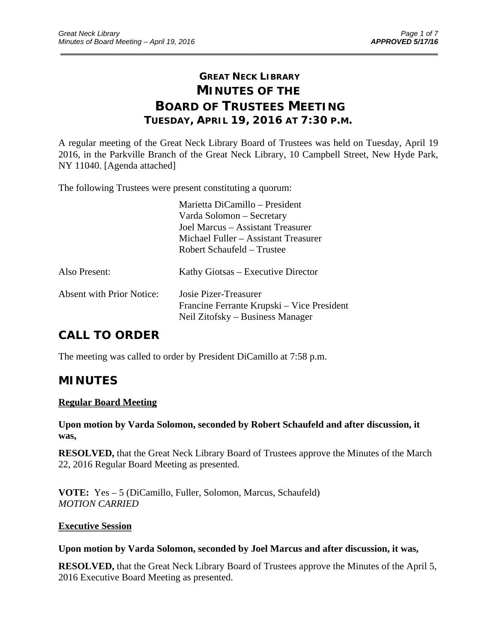# **GREAT NECK LIBRARY MINUTES OF THE BOARD OF TRUSTEES MEETING TUESDAY, APRIL 19, 2016 AT 7:30 P.M.**

\_\_\_\_\_\_\_\_\_\_\_\_\_\_\_\_\_\_\_\_\_\_\_\_\_\_\_\_\_\_\_\_\_\_\_\_\_\_\_\_\_\_\_\_\_\_\_\_\_\_\_\_\_\_\_\_\_\_\_\_\_\_\_\_\_\_\_\_\_\_\_\_\_\_\_\_\_\_\_\_\_\_\_\_\_\_\_\_\_\_\_\_\_

A regular meeting of the Great Neck Library Board of Trustees was held on Tuesday, April 19 2016, in the Parkville Branch of the Great Neck Library, 10 Campbell Street, New Hyde Park, NY 11040. [Agenda attached]

The following Trustees were present constituting a quorum:

|                                  | Marietta DiCamillo - President<br>Varda Solomon – Secretary<br>Joel Marcus – Assistant Treasurer<br>Michael Fuller – Assistant Treasurer<br>Robert Schaufeld – Trustee |
|----------------------------------|------------------------------------------------------------------------------------------------------------------------------------------------------------------------|
| Also Present:                    | Kathy Giotsas – Executive Director                                                                                                                                     |
| <b>Absent with Prior Notice:</b> | Josie Pizer-Treasurer<br>Francine Ferrante Krupski – Vice President<br>Neil Zitofsky – Business Manager                                                                |

# **CALL TO ORDER**

The meeting was called to order by President DiCamillo at 7:58 p.m.

## **MINUTES**

### **Regular Board Meeting**

**Upon motion by Varda Solomon, seconded by Robert Schaufeld and after discussion, it was,** 

**RESOLVED,** that the Great Neck Library Board of Trustees approve the Minutes of the March 22, 2016 Regular Board Meeting as presented.

**VOTE:** Yes – 5 (DiCamillo, Fuller, Solomon, Marcus, Schaufeld) *MOTION CARRIED* 

### **Executive Session**

### **Upon motion by Varda Solomon, seconded by Joel Marcus and after discussion, it was,**

**RESOLVED,** that the Great Neck Library Board of Trustees approve the Minutes of the April 5, 2016 Executive Board Meeting as presented.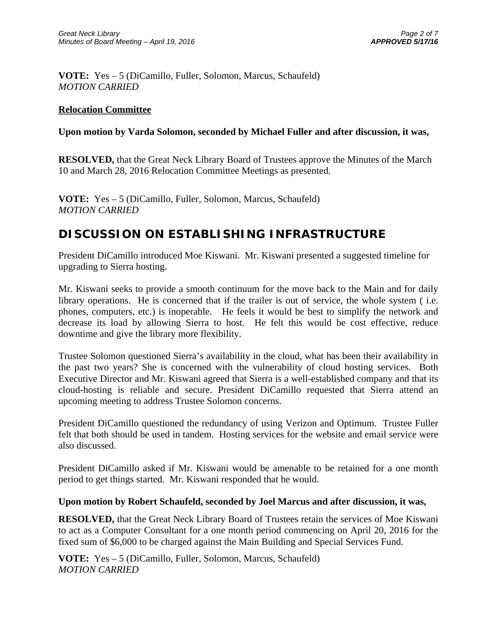**VOTE:** Yes – 5 (DiCamillo, Fuller, Solomon, Marcus, Schaufeld) *MOTION CARRIED* 

### **Relocation Committee**

### **Upon motion by Varda Solomon, seconded by Michael Fuller and after discussion, it was,**

**RESOLVED,** that the Great Neck Library Board of Trustees approve the Minutes of the March 10 and March 28, 2016 Relocation Committee Meetings as presented.

**VOTE:** Yes – 5 (DiCamillo, Fuller, Solomon, Marcus, Schaufeld) *MOTION CARRIED* 

## **DISCUSSION ON ESTABLISHING INFRASTRUCTURE**

President DiCamillo introduced Moe Kiswani. Mr. Kiswani presented a suggested timeline for upgrading to Sierra hosting.

Mr. Kiswani seeks to provide a smooth continuum for the move back to the Main and for daily library operations. He is concerned that if the trailer is out of service, the whole system ( i.e. phones, computers, etc.) is inoperable. He feels it would be best to simplify the network and decrease its load by allowing Sierra to host. He felt this would be cost effective, reduce downtime and give the library more flexibility.

Trustee Solomon questioned Sierra's availability in the cloud, what has been their availability in the past two years? She is concerned with the vulnerability of cloud hosting services. Both Executive Director and Mr. Kiswani agreed that Sierra is a well-established company and that its cloud-hosting is reliable and secure. President DiCamillo requested that Sierra attend an upcoming meeting to address Trustee Solomon concerns.

President DiCamillo questioned the redundancy of using Verizon and Optimum. Trustee Fuller felt that both should be used in tandem. Hosting services for the website and email service were also discussed.

President DiCamillo asked if Mr. Kiswani would be amenable to be retained for a one month period to get things started. Mr. Kiswani responded that he would.

### **Upon motion by Robert Schaufeld, seconded by Joel Marcus and after discussion, it was,**

**RESOLVED,** that the Great Neck Library Board of Trustees retain the services of Moe Kiswani to act as a Computer Consultant for a one month period commencing on April 20, 2016 for the fixed sum of \$6,000 to be charged against the Main Building and Special Services Fund.

**VOTE:** Yes – 5 (DiCamillo, Fuller, Solomon, Marcus, Schaufeld) *MOTION CARRIED*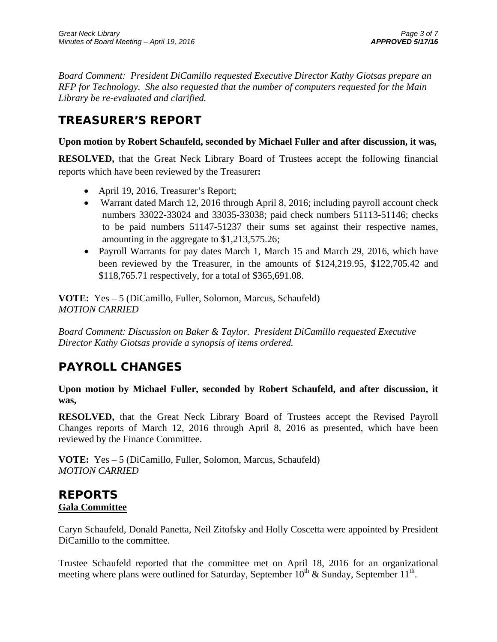*Board Comment: President DiCamillo requested Executive Director Kathy Giotsas prepare an RFP for Technology. She also requested that the number of computers requested for the Main Library be re-evaluated and clarified.* 

# **TREASURER'S REPORT**

### **Upon motion by Robert Schaufeld, seconded by Michael Fuller and after discussion, it was,**

**RESOLVED,** that the Great Neck Library Board of Trustees accept the following financial reports which have been reviewed by the Treasurer**:** 

- April 19, 2016, Treasurer's Report;
- Warrant dated March 12, 2016 through April 8, 2016; including payroll account check numbers 33022-33024 and 33035-33038; paid check numbers 51113-51146; checks to be paid numbers 51147-51237 their sums set against their respective names, amounting in the aggregate to \$1,213,575.26;
- Payroll Warrants for pay dates March 1, March 15 and March 29, 2016, which have been reviewed by the Treasurer, in the amounts of \$124,219.95, \$122,705.42 and \$118,765.71 respectively, for a total of \$365,691.08.

**VOTE:** Yes – 5 (DiCamillo, Fuller, Solomon, Marcus, Schaufeld) *MOTION CARRIED* 

*Board Comment: Discussion on Baker & Taylor. President DiCamillo requested Executive Director Kathy Giotsas provide a synopsis of items ordered.* 

# **PAYROLL CHANGES**

**Upon motion by Michael Fuller, seconded by Robert Schaufeld, and after discussion, it was,** 

**RESOLVED,** that the Great Neck Library Board of Trustees accept the Revised Payroll Changes reports of March 12, 2016 through April 8, 2016 as presented, which have been reviewed by the Finance Committee.

**VOTE:** Yes – 5 (DiCamillo, Fuller, Solomon, Marcus, Schaufeld) *MOTION CARRIED* 

## **REPORTS Gala Committee**

Caryn Schaufeld, Donald Panetta, Neil Zitofsky and Holly Coscetta were appointed by President DiCamillo to the committee.

Trustee Schaufeld reported that the committee met on April 18, 2016 for an organizational meeting where plans were outlined for Saturday, September  $10^{th}$  & Sunday, September  $11^{th}$ .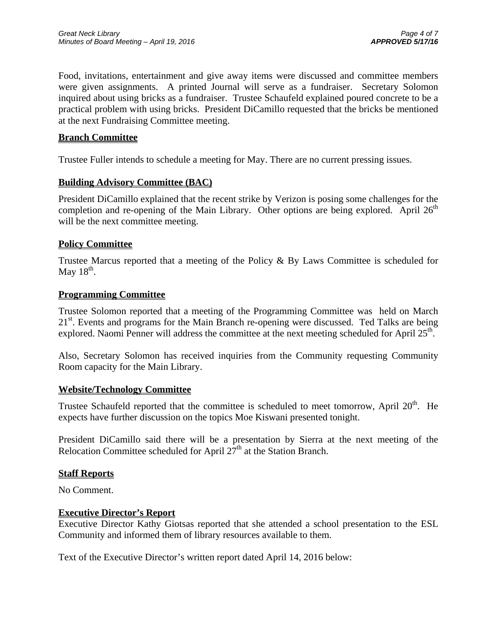Food, invitations, entertainment and give away items were discussed and committee members were given assignments. A printed Journal will serve as a fundraiser. Secretary Solomon inquired about using bricks as a fundraiser. Trustee Schaufeld explained poured concrete to be a practical problem with using bricks. President DiCamillo requested that the bricks be mentioned at the next Fundraising Committee meeting.

### **Branch Committee**

Trustee Fuller intends to schedule a meeting for May. There are no current pressing issues.

### **Building Advisory Committee (BAC)**

President DiCamillo explained that the recent strike by Verizon is posing some challenges for the completion and re-opening of the Main Library. Other options are being explored. April  $26<sup>th</sup>$ will be the next committee meeting.

### **Policy Committee**

Trustee Marcus reported that a meeting of the Policy  $\&$  By Laws Committee is scheduled for May  $18<sup>th</sup>$ .

### **Programming Committee**

Trustee Solomon reported that a meeting of the Programming Committee was held on March  $21<sup>st</sup>$ . Events and programs for the Main Branch re-opening were discussed. Ted Talks are being explored. Naomi Penner will address the committee at the next meeting scheduled for April  $25<sup>th</sup>$ .

Also, Secretary Solomon has received inquiries from the Community requesting Community Room capacity for the Main Library.

### **Website/Technology Committee**

Trustee Schaufeld reported that the committee is scheduled to meet tomorrow, April  $20<sup>th</sup>$ . He expects have further discussion on the topics Moe Kiswani presented tonight.

President DiCamillo said there will be a presentation by Sierra at the next meeting of the Relocation Committee scheduled for April  $27<sup>th</sup>$  at the Station Branch.

### **Staff Reports**

No Comment.

### **Executive Director's Report**

Executive Director Kathy Giotsas reported that she attended a school presentation to the ESL Community and informed them of library resources available to them.

Text of the Executive Director's written report dated April 14, 2016 below: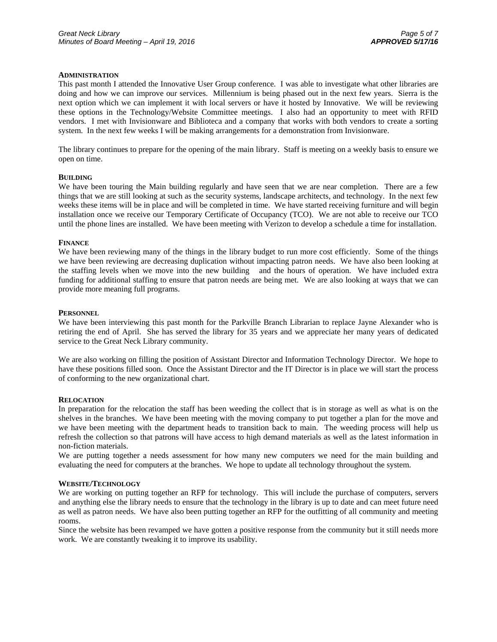#### **ADMINISTRATION**

This past month I attended the Innovative User Group conference. I was able to investigate what other libraries are doing and how we can improve our services. Millennium is being phased out in the next few years. Sierra is the next option which we can implement it with local servers or have it hosted by Innovative. We will be reviewing these options in the Technology/Website Committee meetings. I also had an opportunity to meet with RFID vendors. I met with Invisionware and Biblioteca and a company that works with both vendors to create a sorting system. In the next few weeks I will be making arrangements for a demonstration from Invisionware.

The library continues to prepare for the opening of the main library. Staff is meeting on a weekly basis to ensure we open on time.

#### **BUILDING**

We have been touring the Main building regularly and have seen that we are near completion. There are a few things that we are still looking at such as the security systems, landscape architects, and technology. In the next few weeks these items will be in place and will be completed in time. We have started receiving furniture and will begin installation once we receive our Temporary Certificate of Occupancy (TCO). We are not able to receive our TCO until the phone lines are installed. We have been meeting with Verizon to develop a schedule a time for installation.

#### **FINANCE**

We have been reviewing many of the things in the library budget to run more cost efficiently. Some of the things we have been reviewing are decreasing duplication without impacting patron needs. We have also been looking at the staffing levels when we move into the new building and the hours of operation. We have included extra funding for additional staffing to ensure that patron needs are being met. We are also looking at ways that we can provide more meaning full programs.

#### **PERSONNEL**

We have been interviewing this past month for the Parkville Branch Librarian to replace Jayne Alexander who is retiring the end of April. She has served the library for 35 years and we appreciate her many years of dedicated service to the Great Neck Library community.

We are also working on filling the position of Assistant Director and Information Technology Director. We hope to have these positions filled soon. Once the Assistant Director and the IT Director is in place we will start the process of conforming to the new organizational chart.

#### **RELOCATION**

In preparation for the relocation the staff has been weeding the collect that is in storage as well as what is on the shelves in the branches. We have been meeting with the moving company to put together a plan for the move and we have been meeting with the department heads to transition back to main. The weeding process will help us refresh the collection so that patrons will have access to high demand materials as well as the latest information in non-fiction materials.

We are putting together a needs assessment for how many new computers we need for the main building and evaluating the need for computers at the branches. We hope to update all technology throughout the system.

#### **WEBSITE/TECHNOLOGY**

We are working on putting together an RFP for technology. This will include the purchase of computers, servers and anything else the library needs to ensure that the technology in the library is up to date and can meet future need as well as patron needs. We have also been putting together an RFP for the outfitting of all community and meeting rooms.

Since the website has been revamped we have gotten a positive response from the community but it still needs more work. We are constantly tweaking it to improve its usability.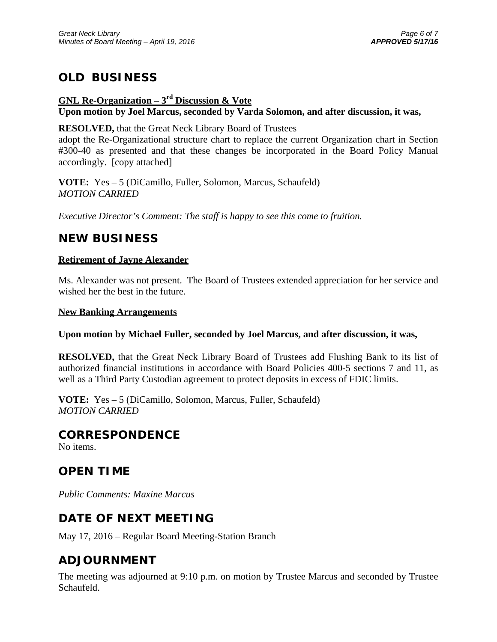# **OLD BUSINESS**

## **GNL Re-Organization – 3rd Discussion & Vote Upon motion by Joel Marcus, seconded by Varda Solomon, and after discussion, it was,**

**RESOLVED,** that the Great Neck Library Board of Trustees

adopt the Re-Organizational structure chart to replace the current Organization chart in Section #300-40 as presented and that these changes be incorporated in the Board Policy Manual accordingly. [copy attached]

**VOTE:** Yes – 5 (DiCamillo, Fuller, Solomon, Marcus, Schaufeld) *MOTION CARRIED* 

*Executive Director's Comment: The staff is happy to see this come to fruition.* 

# **NEW BUSINESS**

### **Retirement of Jayne Alexander**

Ms. Alexander was not present. The Board of Trustees extended appreciation for her service and wished her the best in the future.

### **New Banking Arrangements**

### **Upon motion by Michael Fuller, seconded by Joel Marcus, and after discussion, it was,**

**RESOLVED,** that the Great Neck Library Board of Trustees add Flushing Bank to its list of authorized financial institutions in accordance with Board Policies 400-5 sections 7 and 11, as well as a Third Party Custodian agreement to protect deposits in excess of FDIC limits.

**VOTE:** Yes – 5 (DiCamillo, Solomon, Marcus, Fuller, Schaufeld) *MOTION CARRIED* 

## **CORRESPONDENCE**

No items.

## **OPEN TIME**

*Public Comments: Maxine Marcus* 

# **DATE OF NEXT MEETING**

May 17, 2016 – Regular Board Meeting-Station Branch

# **ADJOURNMENT**

The meeting was adjourned at 9:10 p.m. on motion by Trustee Marcus and seconded by Trustee Schaufeld.